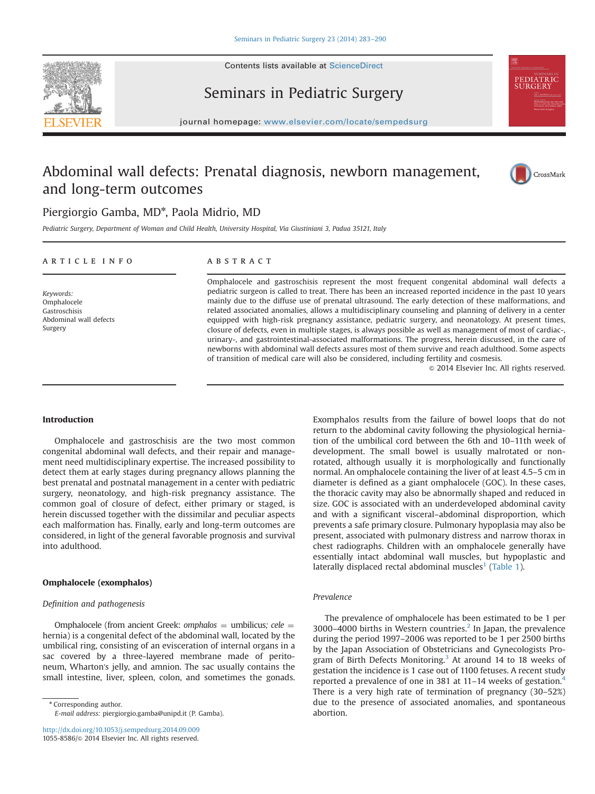



# Seminars in Pediatric Surgery

journal homepage: <www.elsevier.com/locate/sempedsurg>

# Abdominal wall defects: Prenatal diagnosis, newborn management, and long-term outcomes



## Piergiorgio Gamba, MD<sup>\*</sup>, Paola Midrio, MD

Pediatric Surgery, Department of Woman and Child Health, University Hospital, Via Giustiniani 3, Padua 35121, Italy

#### article info

Keywords: Omphalocele Gastroschisis Abdominal wall defects Surgery

## **ABSTRACT**

Omphalocele and gastroschisis represent the most frequent congenital abdominal wall defects a pediatric surgeon is called to treat. There has been an increased reported incidence in the past 10 years mainly due to the diffuse use of prenatal ultrasound. The early detection of these malformations, and related associated anomalies, allows a multidisciplinary counseling and planning of delivery in a center equipped with high-risk pregnancy assistance, pediatric surgery, and neonatology. At present times, closure of defects, even in multiple stages, is always possible as well as management of most of cardiac-, urinary-, and gastrointestinal-associated malformations. The progress, herein discussed, in the care of newborns with abdominal wall defects assures most of them survive and reach adulthood. Some aspects of transition of medical care will also be considered, including fertility and cosmesis.

 $\odot$  2014 Elsevier Inc. All rights reserved.

## Introduction

Omphalocele and gastroschisis are the two most common congenital abdominal wall defects, and their repair and management need multidisciplinary expertise. The increased possibility to detect them at early stages during pregnancy allows planning the best prenatal and postnatal management in a center with pediatric surgery, neonatology, and high-risk pregnancy assistance. The common goal of closure of defect, either primary or staged, is herein discussed together with the dissimilar and peculiar aspects each malformation has. Finally, early and long-term outcomes are considered, in light of the general favorable prognosis and survival into adulthood.

#### Omphalocele (exomphalos)

#### Definition and pathogenesis

Omphalocele (from ancient Greek: omphalos  $=$  umbilicus; cele  $=$ hernia) is a congenital defect of the abdominal wall, located by the umbilical ring, consisting of an evisceration of internal organs in a sac covered by a three-layered membrane made of peritoneum, Wharton's jelly, and amnion. The sac usually contains the small intestine, liver, spleen, colon, and sometimes the gonads.

\* Corresponding author. E-mail address: [piergiorgio.gamba@unipd.it \(P. Gamba\).](mailto:piergiorgio.gamba@unipd.it) Exomphalos results from the failure of bowel loops that do not return to the abdominal cavity following the physiological herniation of the umbilical cord between the 6th and 10–11th week of development. The small bowel is usually malrotated or nonrotated, although usually it is morphologically and functionally normal. An omphalocele containing the liver of at least 4.5–5 cm in diameter is defined as a giant omphalocele (GOC). In these cases, the thoracic cavity may also be abnormally shaped and reduced in size. GOC is associated with an underdeveloped abdominal cavity and with a significant visceral–abdominal disproportion, which prevents a safe primary closure. Pulmonary hypoplasia may also be present, associated with pulmonary distress and narrow thorax in chest radiographs. Children with an omphalocele generally have essentially intact abdominal wall muscles, but hypoplastic and laterally displaced rectal abdominal muscles<sup>1</sup> ([Table 1\)](#page-1-0).

#### Prevalence

The prevalence of omphalocele has been estimated to be 1 per 3000–4000 births in Western countries.<sup>2</sup> In Japan, the prevalence during the period 1997–2006 was reported to be 1 per 2500 births by the Japan Association of Obstetricians and Gynecologists Program of Birth Defects Monitoring. $3$  At around 14 to 18 weeks of gestation the incidence is 1 case out of 1100 fetuses. A recent study reported a prevalence of one in 381 at 11–1[4](#page-6-0) weeks of gestation.<sup>4</sup> There is a very high rate of termination of pregnancy (30–52%) due to the presence of associated anomalies, and spontaneous abortion.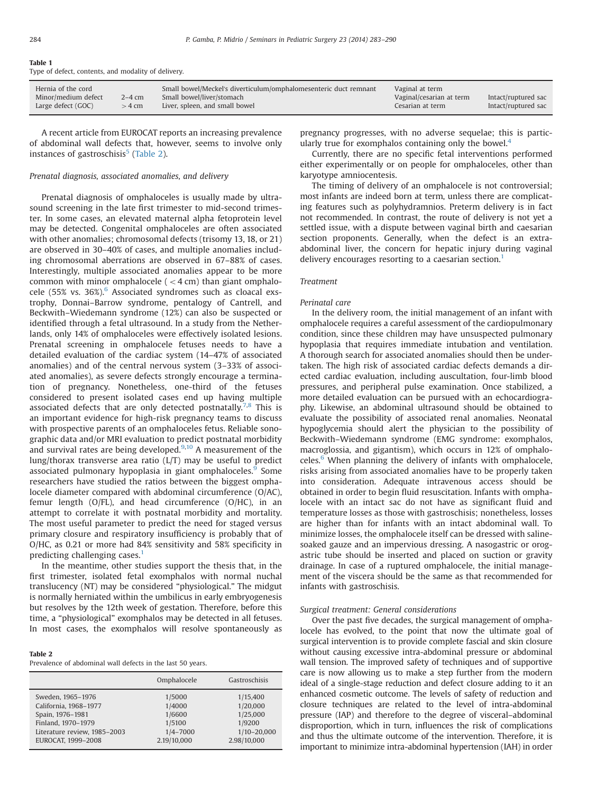| Tapic T                                             |  |  |  |
|-----------------------------------------------------|--|--|--|
| Type of defect, contents, and modality of delivery. |  |  |  |

| Hernia of the cord  |          | Small bowel/Meckel's diverticulum/omphalomesenteric duct remnant | Vaginal at term          |                     |
|---------------------|----------|------------------------------------------------------------------|--------------------------|---------------------|
| Minor/medium defect | $2-4$ cm | Small bowel/liver/stomach                                        | Vaginal/cesarian at term | Intact/ruptured sac |
| Large defect (GOC)  | > 4 cm   | Liver, spleen, and small bowel                                   | Cesarian at term         | Intact/ruptured sac |

A recent article from EUROCAT reports an increasing prevalence of abdominal wall defects that, however, seems to involve only instances of gastroschisis<sup>[5](#page-6-0)</sup> (Table 2).

#### Prenatal diagnosis, associated anomalies, and delivery

Prenatal diagnosis of omphaloceles is usually made by ultrasound screening in the late first trimester to mid-second trimester. In some cases, an elevated maternal alpha fetoprotein level may be detected. Congenital omphaloceles are often associated with other anomalies; chromosomal defects (trisomy 13, 18, or 21) are observed in 30–40% of cases, and multiple anomalies including chromosomal aberrations are observed in 67–88% of cases. Interestingly, multiple associated anomalies appear to be more common with minor omphalocele  $( $4 \text{ cm}$ )$  than giant omphalocele (55% vs.  $36\%$  $36\%$  $36\%$ ).<sup>6</sup> Associated syndromes such as cloacal exstrophy, Donnai–Barrow syndrome, pentalogy of Cantrell, and Beckwith–Wiedemann syndrome (12%) can also be suspected or identified through a fetal ultrasound. In a study from the Netherlands, only 14% of omphaloceles were effectively isolated lesions. Prenatal screening in omphalocele fetuses needs to have a detailed evaluation of the cardiac system (14–47% of associated anomalies) and of the central nervous system (3–33% of associated anomalies), as severe defects strongly encourage a termination of pregnancy. Nonetheless, one-third of the fetuses considered to present isolated cases end up having multiple associated defects that are only detected postnatally.<sup>[7](#page-6-0),[8](#page-6-0)</sup> This is an important evidence for high-risk pregnancy teams to discuss with prospective parents of an omphaloceles fetus. Reliable sonographic data and/or MRI evaluation to predict postnatal morbidity and survival rates are being developed. $9,10$  $9,10$  $9,10$  A measurement of the lung/thorax transverse area ratio (L/T) may be useful to predict associated pulmonary hypoplasia in giant omphaloceles.<sup>[9](#page-6-0)</sup> Some researchers have studied the ratios between the biggest omphalocele diameter compared with abdominal circumference (O/AC), femur length (O/FL), and head circumference (O/HC), in an attempt to correlate it with postnatal morbidity and mortality. The most useful parameter to predict the need for staged versus primary closure and respiratory insufficiency is probably that of O/HC, as 0.21 or more had 84% sensitivity and 58% specificity in predicting challenging cases. $<sup>1</sup>$  $<sup>1</sup>$  $<sup>1</sup>$ </sup>

In the meantime, other studies support the thesis that, in the first trimester, isolated fetal exomphalos with normal nuchal translucency (NT) may be considered "physiological." The midgut is normally herniated within the umbilicus in early embryogenesis but resolves by the 12th week of gestation. Therefore, before this time, a "physiological" exomphalos may be detected in all fetuses. In most cases, the exomphalos will resolve spontaneously as

#### Table 2

Prevalence of abdominal wall defects in the last 50 years.

|                              | Omphalocele  | Gastroschisis   |
|------------------------------|--------------|-----------------|
| Sweden, 1965-1976            | 1/5000       | 1/15,400        |
| California, 1968-1977        | 1/4000       | 1/20,000        |
| Spain, 1976-1981             | 1/6600       | 1/25,000        |
| Finland, 1970-1979           | 1/5100       | 1/9200          |
| Literature review, 1985-2003 | $1/4 - 7000$ | $1/10 - 20,000$ |
| EUROCAT, 1999-2008           | 2.19/10,000  | 2.98/10,000     |

pregnancy progresses, with no adverse sequelae; this is partic-ularly true for exomphalos containing only the bowel.<sup>[4](#page-6-0)</sup>

Currently, there are no specific fetal interventions performed either experimentally or on people for omphaloceles, other than karyotype amniocentesis.

The timing of delivery of an omphalocele is not controversial; most infants are indeed born at term, unless there are complicating features such as polyhydramnios. Preterm delivery is in fact not recommended. In contrast, the route of delivery is not yet a settled issue, with a dispute between vaginal birth and caesarian section proponents. Generally, when the defect is an extraabdominal liver, the concern for hepatic injury during vaginal delivery encourages resorting to a caesarian section.<sup>[1](#page-6-0)</sup>

## Treatment

### Perinatal care

In the delivery room, the initial management of an infant with omphalocele requires a careful assessment of the cardiopulmonary condition, since these children may have unsuspected pulmonary hypoplasia that requires immediate intubation and ventilation. A thorough search for associated anomalies should then be undertaken. The high risk of associated cardiac defects demands a directed cardiac evaluation, including auscultation, four-limb blood pressures, and peripheral pulse examination. Once stabilized, a more detailed evaluation can be pursued with an echocardiography. Likewise, an abdominal ultrasound should be obtained to evaluate the possibility of associated renal anomalies. Neonatal hypoglycemia should alert the physician to the possibility of Beckwith–Wiedemann syndrome (EMG syndrome: exomphalos, macroglossia, and gigantism), which occurs in 12% of omphaloceles. $6$  When planning the delivery of infants with omphalocele, risks arising from associated anomalies have to be properly taken into consideration. Adequate intravenous access should be obtained in order to begin fluid resuscitation. Infants with omphalocele with an intact sac do not have as significant fluid and temperature losses as those with gastroschisis; nonetheless, losses are higher than for infants with an intact abdominal wall. To minimize losses, the omphalocele itself can be dressed with salinesoaked gauze and an impervious dressing. A nasogastric or orogastric tube should be inserted and placed on suction or gravity drainage. In case of a ruptured omphalocele, the initial management of the viscera should be the same as that recommended for infants with gastroschisis.

#### Surgical treatment: General considerations

Over the past five decades, the surgical management of omphalocele has evolved, to the point that now the ultimate goal of surgical intervention is to provide complete fascial and skin closure without causing excessive intra-abdominal pressure or abdominal wall tension. The improved safety of techniques and of supportive care is now allowing us to make a step further from the modern ideal of a single-stage reduction and defect closure adding to it an enhanced cosmetic outcome. The levels of safety of reduction and closure techniques are related to the level of intra-abdominal pressure (IAP) and therefore to the degree of visceral–abdominal disproportion, which in turn, influences the risk of complications and thus the ultimate outcome of the intervention. Therefore, it is important to minimize intra-abdominal hypertension (IAH) in order

<span id="page-1-0"></span>Table 1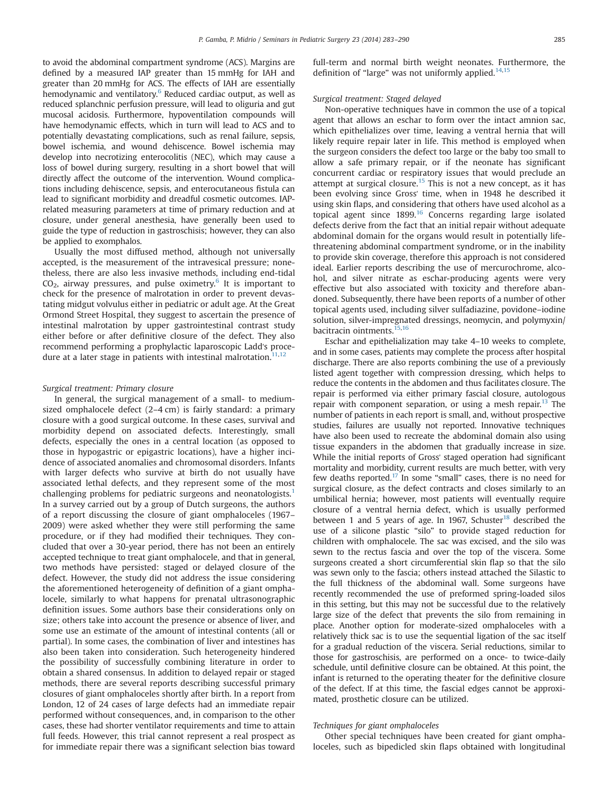to avoid the abdominal compartment syndrome (ACS). Margins are defined by a measured IAP greater than 15 mmHg for IAH and greater than 20 mmHg for ACS. The effects of IAH are essentially hemodynamic and ventilatory.<sup>6</sup> Reduced cardiac output, as well as reduced splanchnic perfusion pressure, will lead to oliguria and gut mucosal acidosis. Furthermore, hypoventilation compounds will have hemodynamic effects, which in turn will lead to ACS and to potentially devastating complications, such as renal failure, sepsis, bowel ischemia, and wound dehiscence. Bowel ischemia may develop into necrotizing enterocolitis (NEC), which may cause a loss of bowel during surgery, resulting in a short bowel that will directly affect the outcome of the intervention. Wound complications including dehiscence, sepsis, and enterocutaneous fistula can lead to significant morbidity and dreadful cosmetic outcomes. IAPrelated measuring parameters at time of primary reduction and at closure, under general anesthesia, have generally been used to guide the type of reduction in gastroschisis; however, they can also be applied to exomphalos.

Usually the most diffused method, although not universally accepted, is the measurement of the intravesical pressure; nonetheless, there are also less invasive methods, including end-tidal  $CO<sub>2</sub>$ , airway pressures, and pulse oximetry.<sup>[6](#page-6-0)</sup> It is important to check for the presence of malrotation in order to prevent devastating midgut volvulus either in pediatric or adult age. At the Great Ormond Street Hospital, they suggest to ascertain the presence of intestinal malrotation by upper gastrointestinal contrast study either before or after definitive closure of the defect. They also recommend performing a prophylactic laparoscopic Ladd's procedure at a later stage in patients with intestinal malrotation. $11,12$ 

#### Surgical treatment: Primary closure

In general, the surgical management of a small- to mediumsized omphalocele defect (2–4 cm) is fairly standard: a primary closure with a good surgical outcome. In these cases, survival and morbidity depend on associated defects. Interestingly, small defects, especially the ones in a central location (as opposed to those in hypogastric or epigastric locations), have a higher incidence of associated anomalies and chromosomal disorders. Infants with larger defects who survive at birth do not usually have associated lethal defects, and they represent some of the most challenging problems for pediatric surgeons and neonatologists.<sup>[1](#page-6-0)</sup> In a survey carried out by a group of Dutch surgeons, the authors of a report discussing the closure of giant omphaloceles (1967– 2009) were asked whether they were still performing the same procedure, or if they had modified their techniques. They concluded that over a 30-year period, there has not been an entirely accepted technique to treat giant omphalocele, and that in general, two methods have persisted: staged or delayed closure of the defect. However, the study did not address the issue considering the aforementioned heterogeneity of definition of a giant omphalocele, similarly to what happens for prenatal ultrasonographic definition issues. Some authors base their considerations only on size; others take into account the presence or absence of liver, and some use an estimate of the amount of intestinal contents (all or partial). In some cases, the combination of liver and intestines has also been taken into consideration. Such heterogeneity hindered the possibility of successfully combining literature in order to obtain a shared consensus. In addition to delayed repair or staged methods, there are several reports describing successful primary closures of giant omphaloceles shortly after birth. In a report from London, 12 of 24 cases of large defects had an immediate repair performed without consequences, and, in comparison to the other cases, these had shorter ventilator requirements and time to attain full feeds. However, this trial cannot represent a real prospect as for immediate repair there was a significant selection bias toward full-term and normal birth weight neonates. Furthermore, the definition of "large" was not uniformly applied.<sup>14,[15](#page-6-0)</sup>

#### Surgical treatment: Staged delayed

Non-operative techniques have in common the use of a topical agent that allows an eschar to form over the intact amnion sac, which epithelializes over time, leaving a ventral hernia that will likely require repair later in life. This method is employed when the surgeon considers the defect too large or the baby too small to allow a safe primary repair, or if the neonate has significant concurrent cardiac or respiratory issues that would preclude an attempt at surgical closure.<sup>[15](#page-6-0)</sup> This is not a new concept, as it has been evolving since Gross' time, when in 1948 he described it using skin flaps, and considering that others have used alcohol as a topical agent since 1899.[16](#page-6-0) Concerns regarding large isolated defects derive from the fact that an initial repair without adequate abdominal domain for the organs would result in potentially lifethreatening abdominal compartment syndrome, or in the inability to provide skin coverage, therefore this approach is not considered ideal. Earlier reports describing the use of mercurochrome, alcohol, and silver nitrate as eschar-producing agents were very effective but also associated with toxicity and therefore abandoned. Subsequently, there have been reports of a number of other topical agents used, including silver sulfadiazine, povidone–iodine solution, silver-impregnated dressings, neomycin, and polymyxin/ bacitracin ointments.<sup>15,16</sup>

Eschar and epithelialization may take 4–10 weeks to complete, and in some cases, patients may complete the process after hospital discharge. There are also reports combining the use of a previously listed agent together with compression dressing, which helps to reduce the contents in the abdomen and thus facilitates closure. The repair is performed via either primary fascial closure, autologous repair with component separation, or using a mesh repair.<sup>13</sup> The number of patients in each report is small, and, without prospective studies, failures are usually not reported. Innovative techniques have also been used to recreate the abdominal domain also using tissue expanders in the abdomen that gradually increase in size. While the initial reports of Gross' staged operation had significant mortality and morbidity, current results are much better, with very few deaths reported.<sup>17</sup> In some "small" cases, there is no need for surgical closure, as the defect contracts and closes similarly to an umbilical hernia; however, most patients will eventually require closure of a ventral hernia defect, which is usually performed between 1 and 5 years of age. In 1967, Schuster<sup>18</sup> described the use of a silicone plastic "silo" to provide staged reduction for children with omphalocele. The sac was excised, and the silo was sewn to the rectus fascia and over the top of the viscera. Some surgeons created a short circumferential skin flap so that the silo was sewn only to the fascia; others instead attached the Silastic to the full thickness of the abdominal wall. Some surgeons have recently recommended the use of preformed spring-loaded silos in this setting, but this may not be successful due to the relatively large size of the defect that prevents the silo from remaining in place. Another option for moderate-sized omphaloceles with a relatively thick sac is to use the sequential ligation of the sac itself for a gradual reduction of the viscera. Serial reductions, similar to those for gastroschisis, are performed on a once- to twice-daily schedule, until definitive closure can be obtained. At this point, the infant is returned to the operating theater for the definitive closure of the defect. If at this time, the fascial edges cannot be approximated, prosthetic closure can be utilized.

#### Techniques for giant omphaloceles

Other special techniques have been created for giant omphaloceles, such as bipedicled skin flaps obtained with longitudinal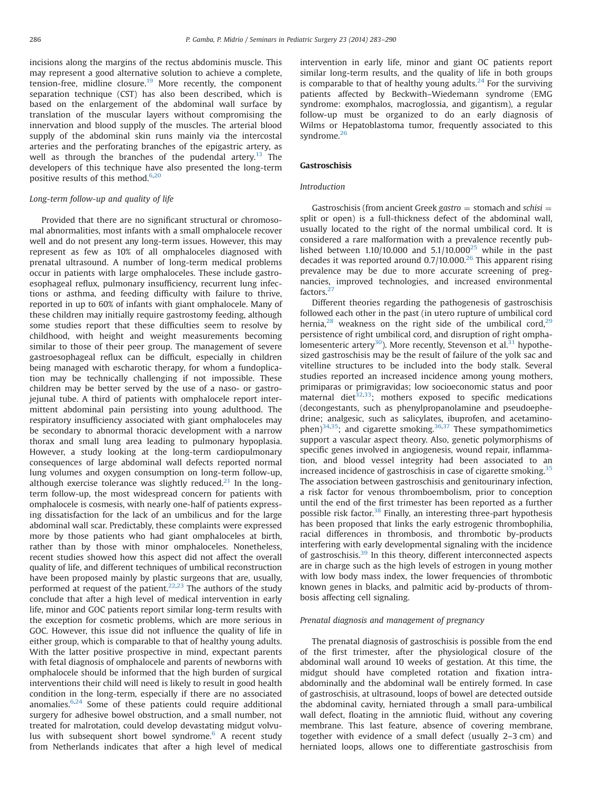incisions along the margins of the rectus abdominis muscle. This may represent a good alternative solution to achieve a complete, tension-free, midline closure.[19](#page-6-0) More recently, the component separation technique (CST) has also been described, which is based on the enlargement of the abdominal wall surface by translation of the muscular layers without compromising the innervation and blood supply of the muscles. The arterial blood supply of the abdominal skin runs mainly via the intercostal arteries and the perforating branches of the epigastric artery, as well as through the branches of the pudendal artery.<sup>[13](#page-6-0)</sup> The developers of this technique have also presented the long-term positive results of this method.<sup>[6](#page-6-0),[20](#page-6-0)</sup>

## Long-term follow-up and quality of life

Provided that there are no significant structural or chromosomal abnormalities, most infants with a small omphalocele recover well and do not present any long-term issues. However, this may represent as few as 10% of all omphaloceles diagnosed with prenatal ultrasound. A number of long-term medical problems occur in patients with large omphaloceles. These include gastroesophageal reflux, pulmonary insufficiency, recurrent lung infections or asthma, and feeding difficulty with failure to thrive, reported in up to 60% of infants with giant omphalocele. Many of these children may initially require gastrostomy feeding, although some studies report that these difficulties seem to resolve by childhood, with height and weight measurements becoming similar to those of their peer group. The management of severe gastroesophageal reflux can be difficult, especially in children being managed with escharotic therapy, for whom a fundoplication may be technically challenging if not impossible. These children may be better served by the use of a naso- or gastrojejunal tube. A third of patients with omphalocele report intermittent abdominal pain persisting into young adulthood. The respiratory insufficiency associated with giant omphaloceles may be secondary to abnormal thoracic development with a narrow thorax and small lung area leading to pulmonary hypoplasia. However, a study looking at the long-term cardiopulmonary consequences of large abdominal wall defects reported normal lung volumes and oxygen consumption on long-term follow-up, although exercise tolerance was slightly reduced.<sup>21</sup> In the longterm follow-up, the most widespread concern for patients with omphalocele is cosmesis, with nearly one-half of patients expressing dissatisfaction for the lack of an umbilicus and for the large abdominal wall scar. Predictably, these complaints were expressed more by those patients who had giant omphaloceles at birth, rather than by those with minor omphaloceles. Nonetheless, recent studies showed how this aspect did not affect the overall quality of life, and different techniques of umbilical reconstruction have been proposed mainly by plastic surgeons that are, usually, performed at request of the patient.<sup>[22](#page-6-0),[23](#page-6-0)</sup> The authors of the study conclude that after a high level of medical intervention in early life, minor and GOC patients report similar long-term results with the exception for cosmetic problems, which are more serious in GOC. However, this issue did not influence the quality of life in either group, which is comparable to that of healthy young adults. With the latter positive prospective in mind, expectant parents with fetal diagnosis of omphalocele and parents of newborns with omphalocele should be informed that the high burden of surgical interventions their child will need is likely to result in good health condition in the long-term, especially if there are no associated anomalies. $6,24$  Some of these patients could require additional surgery for adhesive bowel obstruction, and a small number, not treated for malrotation, could develop devastating midgut volvulus with subsequent short bowel syndrome. $6$  A recent study from Netherlands indicates that after a high level of medical

intervention in early life, minor and giant OC patients report similar long-term results, and the quality of life in both groups is comparable to that of healthy young adults. $24$  For the surviving patients affected by Beckwith–Wiedemann syndrome (EMG syndrome: exomphalos, macroglossia, and gigantism), a regular follow-up must be organized to do an early diagnosis of Wilms or Hepatoblastoma tumor, frequently associated to this syndrome.<sup>[26](#page-6-0)</sup>

#### Gastroschisis

#### Introduction

Gastroschisis (from ancient Greek gastro  $=$  stomach and schisi  $=$ split or open) is a full-thickness defect of the abdominal wall, usually located to the right of the normal umbilical cord. It is considered a rare malformation with a prevalence recently published between  $1.10/10.000$  and  $5.1/10.000<sup>25</sup>$  while in the past decades it was reported around  $0.7/10.000$ .<sup>[26](#page-6-0)</sup> This apparent rising prevalence may be due to more accurate screening of pregnancies, improved technologies, and increased environmental factors.<sup>2</sup>

Different theories regarding the pathogenesis of gastroschisis followed each other in the past (in utero rupture of umbilical cord hernia, $28$  weakness on the right side of the umbilical cord, $29$ persistence of right umbilical cord, and disruption of right omphalomesenteric artery<sup>30</sup>). More recently, Stevenson et al.<sup>31</sup> hypothesized gastroschisis may be the result of failure of the yolk sac and vitelline structures to be included into the body stalk. Several studies reported an increased incidence among young mothers, primiparas or primigravidas; low socioeconomic status and poor maternal diet $32,33$ ; mothers exposed to specific medications (decongestants, such as phenylpropanolamine and pseudoephedrine; analgesic, such as salicylates, ibuprofen, and acetaminophen) $34,35$ ; and cigarette smoking. $36,37$  These sympathomimetics support a vascular aspect theory. Also, genetic polymorphisms of specific genes involved in angiogenesis, wound repair, inflammation, and blood vessel integrity had been associated to an increased incidence of gastroschisis in case of cigarette smoking. $35$ The association between gastroschisis and genitourinary infection, a risk factor for venous thromboembolism, prior to conception until the end of the first trimester has been reported as a further possible risk factor.<sup>[38](#page-6-0)</sup> Finally, an interesting three-part hypothesis has been proposed that links the early estrogenic thrombophilia, racial differences in thrombosis, and thrombotic by-products interfering with early developmental signaling with the incidence of gastroschisis.<sup>[39](#page-6-0)</sup> In this theory, different interconnected aspects are in charge such as the high levels of estrogen in young mother with low body mass index, the lower frequencies of thrombotic known genes in blacks, and palmitic acid by-products of thrombosis affecting cell signaling.

#### Prenatal diagnosis and management of pregnancy

The prenatal diagnosis of gastroschisis is possible from the end of the first trimester, after the physiological closure of the abdominal wall around 10 weeks of gestation. At this time, the midgut should have completed rotation and fixation intraabdominally and the abdominal wall be entirely formed. In case of gastroschisis, at ultrasound, loops of bowel are detected outside the abdominal cavity, herniated through a small para-umbilical wall defect, floating in the amniotic fluid, without any covering membrane. This last feature, absence of covering membrane, together with evidence of a small defect (usually 2–3 cm) and herniated loops, allows one to differentiate gastroschisis from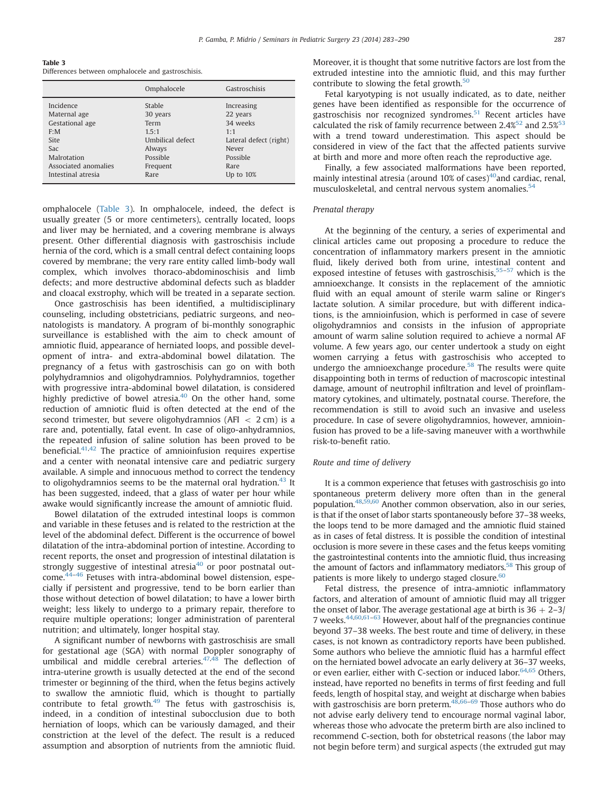Table 3 Differences between omphalocele and gastroschisis.

|                      | Omphalocele      | Gastroschisis          |
|----------------------|------------------|------------------------|
| Incidence            | Stable           | Increasing             |
| Maternal age         | 30 years         | 22 years               |
| Gestational age      | Term             | 34 weeks               |
| F: M                 | 1.5:1            | 1:1                    |
| <b>Site</b>          | Umbilical defect | Lateral defect (right) |
| Sac:                 | Always           | Never                  |
| Malrotation          | Possible         | Possible               |
| Associated anomalies | Frequent         | Rare                   |
| Intestinal atresia   | Rare             | Up to $10%$            |

omphalocele (Table 3). In omphalocele, indeed, the defect is usually greater (5 or more centimeters), centrally located, loops and liver may be herniated, and a covering membrane is always present. Other differential diagnosis with gastroschisis include hernia of the cord, which is a small central defect containing loops covered by membrane; the very rare entity called limb-body wall complex, which involves thoraco-abdominoschisis and limb defects; and more destructive abdominal defects such as bladder and cloacal exstrophy, which will be treated in a separate section.

Once gastroschisis has been identified, a multidisciplinary counseling, including obstetricians, pediatric surgeons, and neonatologists is mandatory. A program of bi-monthly sonographic surveillance is established with the aim to check amount of amniotic fluid, appearance of herniated loops, and possible development of intra- and extra-abdominal bowel dilatation. The pregnancy of a fetus with gastroschisis can go on with both polyhydramnios and oligohydramnios. Polyhydramnios, together with progressive intra-abdominal bowel dilatation, is considered highly predictive of bowel atresia. $40$  On the other hand, some reduction of amniotic fluid is often detected at the end of the second trimester, but severe oligohydramnios (AFI  $\langle$  2 cm) is a rare and, potentially, fatal event. In case of oligo-anhydramnios, the repeated infusion of saline solution has been proved to be beneficial. $41,42$  The practice of amnioinfusion requires expertise and a center with neonatal intensive care and pediatric surgery available. A simple and innocuous method to correct the tendency to oligohydramnios seems to be the maternal oral hydration. $43$  It has been suggested, indeed, that a glass of water per hour while awake would significantly increase the amount of amniotic fluid.

Bowel dilatation of the extruded intestinal loops is common and variable in these fetuses and is related to the restriction at the level of the abdominal defect. Different is the occurrence of bowel dilatation of the intra-abdominal portion of intestine. According to recent reports, the onset and progression of intestinal dilatation is strongly suggestive of intestinal atresia $40$  or poor postnatal outcome.[44](#page-6-0)–[46](#page-6-0) Fetuses with intra-abdominal bowel distension, especially if persistent and progressive, tend to be born earlier than those without detection of bowel dilatation; to have a lower birth weight; less likely to undergo to a primary repair, therefore to require multiple operations; longer administration of parenteral nutrition; and ultimately, longer hospital stay.

A significant number of newborns with gastroschisis are small for gestational age (SGA) with normal Doppler sonography of umbilical and middle cerebral arteries. $47,48$  The deflection of intra-uterine growth is usually detected at the end of the second trimester or beginning of the third, when the fetus begins actively to swallow the amniotic fluid, which is thought to partially contribute to fetal growth. $49$  The fetus with gastroschisis is, indeed, in a condition of intestinal subocclusion due to both herniation of loops, which can be variously damaged, and their constriction at the level of the defect. The result is a reduced assumption and absorption of nutrients from the amniotic fluid. Moreover, it is thought that some nutritive factors are lost from the extruded intestine into the amniotic fluid, and this may further contribute to slowing the fetal growth.<sup>[50](#page-7-0)</sup>

Fetal karyotyping is not usually indicated, as to date, neither genes have been identified as responsible for the occurrence of gastroschisis nor recognized syndromes.<sup>[51](#page-7-0)</sup> Recent articles have calculated the risk of family recurrence between 2.4%<sup>[52](#page-7-0)</sup> and 2.5%<sup>53</sup> with a trend toward underestimation. This aspect should be considered in view of the fact that the affected patients survive at birth and more and more often reach the reproductive age.

Finally, a few associated malformations have been reported, mainly intestinal atresia (around  $10\%$  of cases)<sup>[40](#page-6-0)</sup>and cardiac, renal, musculoskeletal, and central nervous system anomalies.<sup>54</sup>

#### Prenatal therapy

At the beginning of the century, a series of experimental and clinical articles came out proposing a procedure to reduce the concentration of inflammatory markers present in the amniotic fluid, likely derived both from urine, intestinal content and exposed intestine of fetuses with gastroschisis,<sup>[55](#page-7-0)-[57](#page-7-0)</sup> which is the amnioexchange. It consists in the replacement of the amniotic fluid with an equal amount of sterile warm saline or Ringer's lactate solution. A similar procedure, but with different indications, is the amnioinfusion, which is performed in case of severe oligohydramnios and consists in the infusion of appropriate amount of warm saline solution required to achieve a normal AF volume. A few years ago, our center undertook a study on eight women carrying a fetus with gastroschisis who accepted to undergo the amnioexchange procedure.<sup>[58](#page-7-0)</sup> The results were quite disappointing both in terms of reduction of macroscopic intestinal damage, amount of neutrophil infiltration and level of proinflammatory cytokines, and ultimately, postnatal course. Therefore, the recommendation is still to avoid such an invasive and useless procedure. In case of severe oligohydramnios, however, amnioinfusion has proved to be a life-saving maneuver with a worthwhile risk-to-benefit ratio.

#### Route and time of delivery

It is a common experience that fetuses with gastroschisis go into spontaneous preterm delivery more often than in the general population.[48](#page-7-0),[59,60](#page-7-0) Another common observation, also in our series, is that if the onset of labor starts spontaneously before 37–38 weeks, the loops tend to be more damaged and the amniotic fluid stained as in cases of fetal distress. It is possible the condition of intestinal occlusion is more severe in these cases and the fetus keeps vomiting the gastrointestinal contents into the amniotic fluid, thus increasing the amount of factors and inflammatory mediators.<sup>58</sup> This group of patients is more likely to undergo staged closure.<sup>[60](#page-7-0)</sup>

Fetal distress, the presence of intra-amniotic inflammatory factors, and alteration of amount of amniotic fluid may all trigger the onset of labor. The average gestational age at birth is  $36 + 2-3/2$ 7 weeks. $44,60,61-63$  $44,60,61-63$  $44,60,61-63$  $44,60,61-63$  $44,60,61-63$  However, about half of the pregnancies continue beyond 37–38 weeks. The best route and time of delivery, in these cases, is not known as contradictory reports have been published. Some authors who believe the amniotic fluid has a harmful effect on the herniated bowel advocate an early delivery at 36–37 weeks, or even earlier, either with C-section or induced labor.<sup>[64](#page-7-0),[65](#page-7-0)</sup> Others, instead, have reported no benefits in terms of first feeding and full feeds, length of hospital stay, and weight at discharge when babies with gastroschisis are born preterm.<sup>[48,66](#page-7-0)–[69](#page-7-0)</sup> Those authors who do not advise early delivery tend to encourage normal vaginal labor, whereas those who advocate the preterm birth are also inclined to recommend C-section, both for obstetrical reasons (the labor may not begin before term) and surgical aspects (the extruded gut may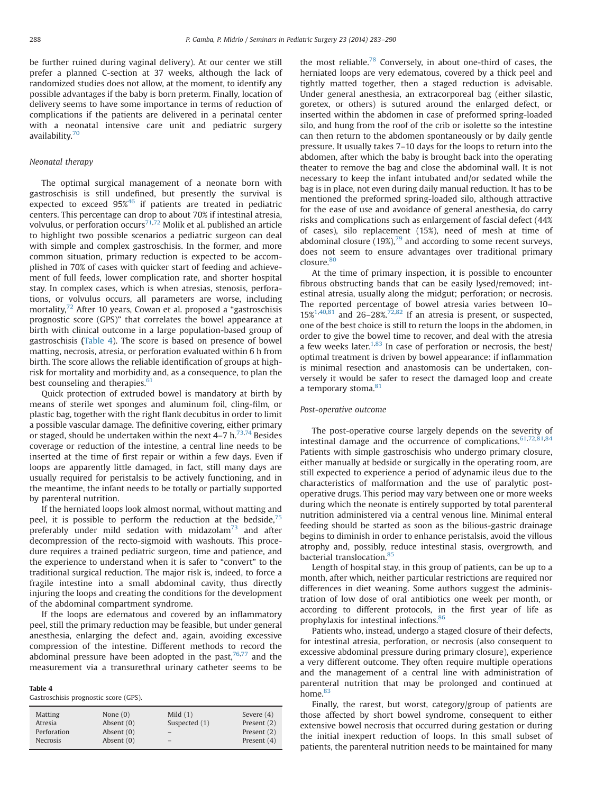be further ruined during vaginal delivery). At our center we still prefer a planned C-section at 37 weeks, although the lack of randomized studies does not allow, at the moment, to identify any possible advantages if the baby is born preterm. Finally, location of delivery seems to have some importance in terms of reduction of complications if the patients are delivered in a perinatal center with a neonatal intensive care unit and pediatric surgery availability.<sup>[70](#page-7-0)</sup>

#### Neonatal therapy

The optimal surgical management of a neonate born with gastroschisis is still undefined, but presently the survival is expected to exceed  $95\%$ <sup>[46](#page-6-0)</sup> if patients are treated in pediatric centers. This percentage can drop to about 70% if intestinal atresia, volvulus, or perforation occurs<sup>[71,72](#page-7-0)</sup> Molik et al. published an article to highlight two possible scenarios a pediatric surgeon can deal with simple and complex gastroschisis. In the former, and more common situation, primary reduction is expected to be accomplished in 70% of cases with quicker start of feeding and achievement of full feeds, lower complication rate, and shorter hospital stay. In complex cases, which is when atresias, stenosis, perforations, or volvulus occurs, all parameters are worse, including mortality, $72$  After 10 years, Cowan et al. proposed a "gastroschisis prognostic score (GPS)" that correlates the bowel appearance at birth with clinical outcome in a large population-based group of gastroschisis (Table 4). The score is based on presence of bowel matting, necrosis, atresia, or perforation evaluated within 6 h from birth. The score allows the reliable identification of groups at highrisk for mortality and morbidity and, as a consequence, to plan the best counseling and therapies. $61$ 

Quick protection of extruded bowel is mandatory at birth by means of sterile wet sponges and aluminum foil, cling-film, or plastic bag, together with the right flank decubitus in order to limit a possible vascular damage. The definitive covering, either primary or staged, should be undertaken within the next  $4-7$  h.<sup>73,[74](#page-7-0)</sup> Besides coverage or reduction of the intestine, a central line needs to be inserted at the time of first repair or within a few days. Even if loops are apparently little damaged, in fact, still many days are usually required for peristalsis to be actively functioning, and in the meantime, the infant needs to be totally or partially supported by parenteral nutrition.

If the herniated loops look almost normal, without matting and peel, it is possible to perform the reduction at the bedside, $75$ preferably under mild sedation with midazolam $^{73}$  and after decompression of the recto-sigmoid with washouts. This procedure requires a trained pediatric surgeon, time and patience, and the experience to understand when it is safer to "convert" to the traditional surgical reduction. The major risk is, indeed, to force a fragile intestine into a small abdominal cavity, thus directly injuring the loops and creating the conditions for the development of the abdominal compartment syndrome.

If the loops are edematous and covered by an inflammatory peel, still the primary reduction may be feasible, but under general anesthesia, enlarging the defect and, again, avoiding excessive compression of the intestine. Different methods to record the abdominal pressure have been adopted in the past,  $76,77$  $76,77$  and the measurement via a transurethral urinary catheter seems to be

Table 4 Gastroschisis prognostic score (GPS).

| None $(0)$<br><b>Matting</b><br>Atresia<br>Absent $(0)$<br>Perforation<br>Absent $(0)$<br>Absent $(0)$<br><b>Necrosis</b> | Mild $(1)$<br>Suspected (1) | Severe $(4)$<br>Present $(2)$<br>Present $(2)$<br>Present $(4)$ |
|---------------------------------------------------------------------------------------------------------------------------|-----------------------------|-----------------------------------------------------------------|
|---------------------------------------------------------------------------------------------------------------------------|-----------------------------|-----------------------------------------------------------------|

the most reliable.[78](#page-7-0) Conversely, in about one-third of cases, the herniated loops are very edematous, covered by a thick peel and tightly matted together, then a staged reduction is advisable. Under general anesthesia, an extracorporeal bag (either silastic, goretex, or others) is sutured around the enlarged defect, or inserted within the abdomen in case of preformed spring-loaded silo, and hung from the roof of the crib or isolette so the intestine can then return to the abdomen spontaneously or by daily gentle pressure. It usually takes 7–10 days for the loops to return into the abdomen, after which the baby is brought back into the operating theater to remove the bag and close the abdominal wall. It is not necessary to keep the infant intubated and/or sedated while the bag is in place, not even during daily manual reduction. It has to be mentioned the preformed spring-loaded silo, although attractive for the ease of use and avoidance of general anesthesia, do carry risks and complications such as enlargement of fascial defect (44% of cases), silo replacement (15%), need of mesh at time of abdominal closure  $(19\%)$ , <sup>[79](#page-7-0)</sup> and according to some recent surveys, does not seem to ensure advantages over traditional primary closure.<sup>[80](#page-7-0)</sup>

At the time of primary inspection, it is possible to encounter fibrous obstructing bands that can be easily lysed/removed; intestinal atresia, usually along the midgut; perforation; or necrosis. The reported percentage of bowel atresia varies between 10–  $15\%^{1,40,81}$  $15\%^{1,40,81}$  $15\%^{1,40,81}$  $15\%^{1,40,81}$  $15\%^{1,40,81}$  and  $26-28\%^{72,82}$  $26-28\%^{72,82}$  $26-28\%^{72,82}$  If an atresia is present, or suspected, one of the best choice is still to return the loops in the abdomen, in order to give the bowel time to recover, and deal with the atresia a few weeks later.<sup>[1](#page-6-0),[83](#page-7-0)</sup> In case of perforation or necrosis, the best/ optimal treatment is driven by bowel appearance: if inflammation is minimal resection and anastomosis can be undertaken, conversely it would be safer to resect the damaged loop and create a temporary stoma.<sup>[81](#page-7-0)</sup>

#### Post-operative outcome

The post-operative course largely depends on the severity of intestinal damage and the occurrence of complications.  $61,72,81,84$  $61,72,81,84$  $61,72,81,84$ Patients with simple gastroschisis who undergo primary closure, either manually at bedside or surgically in the operating room, are still expected to experience a period of adynamic ileus due to the characteristics of malformation and the use of paralytic postoperative drugs. This period may vary between one or more weeks during which the neonate is entirely supported by total parenteral nutrition administered via a central venous line. Minimal enteral feeding should be started as soon as the bilious-gastric drainage begins to diminish in order to enhance peristalsis, avoid the villous atrophy and, possibly, reduce intestinal stasis, overgrowth, and bacterial translocation.<sup>85</sup>

Length of hospital stay, in this group of patients, can be up to a month, after which, neither particular restrictions are required nor differences in diet weaning. Some authors suggest the administration of low dose of oral antibiotics one week per month, or according to different protocols, in the first year of life as prophylaxis for intestinal infections.<sup>[86](#page-7-0)</sup>

Patients who, instead, undergo a staged closure of their defects, for intestinal atresia, perforation, or necrosis (also consequent to excessive abdominal pressure during primary closure), experience a very different outcome. They often require multiple operations and the management of a central line with administration of parenteral nutrition that may be prolonged and continued at home.<sup>83</sup>

Finally, the rarest, but worst, category/group of patients are those affected by short bowel syndrome, consequent to either extensive bowel necrosis that occurred during gestation or during the initial inexpert reduction of loops. In this small subset of patients, the parenteral nutrition needs to be maintained for many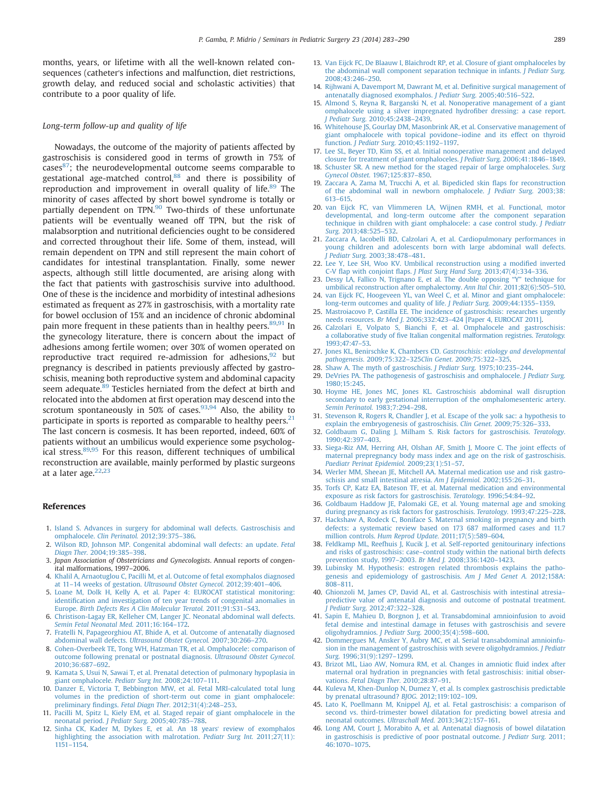<span id="page-6-0"></span>months, years, or lifetime with all the well-known related consequences (catheter's infections and malfunction, diet restrictions, growth delay, and reduced social and scholastic activities) that contribute to a poor quality of life.

## Long-term follow-up and quality of life

Nowadays, the outcome of the majority of patients affected by gastroschisis is considered good in terms of growth in 75% of cases<sup>87</sup>; the neurodevelopmental outcome seems comparable to gestational age-matched control,<sup>88</sup> and there is possibility of reproduction and improvement in overall quality of life. $89$  The minority of cases affected by short bowel syndrome is totally or partially dependent on TPN.<sup>[90](#page-7-0)</sup> Two-thirds of these unfortunate patients will be eventually weaned off TPN, but the risk of malabsorption and nutritional deficiencies ought to be considered and corrected throughout their life. Some of them, instead, will remain dependent on TPN and still represent the main cohort of candidates for intestinal transplantation. Finally, some newer aspects, although still little documented, are arising along with the fact that patients with gastroschisis survive into adulthood. One of these is the incidence and morbidity of intestinal adhesions estimated as frequent as 27% in gastroschisis, with a mortality rate for bowel occlusion of 15% and an incidence of chronic abdominal pain more frequent in these patients than in healthy peers.<sup>[89,91](#page-7-0)</sup> In the gynecology literature, there is concern about the impact of adhesions among fertile women; over 30% of women operated on reproductive tract required re-admission for adhesions, $92$  but pregnancy is described in patients previously affected by gastroschisis, meaning both reproductive system and abdominal capacity seem adequate.<sup>[89](#page-7-0)</sup> Testicles herniated from the defect at birth and relocated into the abdomen at first operation may descend into the scrotum spontaneously in 50% of cases.<sup>[93](#page-7-0),[94](#page-7-0)</sup> Also, the ability to participate in sports is reported as comparable to healthy peers. $21$ The last concern is cosmesis. It has been reported, indeed, 60% of patients without an umbilicus would experience some psycholog-ical stress.<sup>[89,95](#page-7-0)</sup> For this reason, different techniques of umbilical reconstruction are available, mainly performed by plastic surgeons at a later age. $22,23$ 

#### References

- 1. [Island S. Advances in surgery for abdominal wall defects. Gastroschisis and](http://refhub.elsevier.com/S1055-8586(14)00089-4/sbref0005) omphalocele. [Clin Perinatol.](http://refhub.elsevier.com/S1055-8586(14)00089-4/sbref0005) 2012;39:375–386.
- 2. [Wilson RD, Johnson MP. Congenital abdominal wall defects: an update.](http://refhub.elsevier.com/S1055-8586(14)00089-4/sbref0010) Fetal Diagn Ther. [2004;19:385](http://refhub.elsevier.com/S1055-8586(14)00089-4/sbref0010)–398.
- 3. Japan Association of Obstetricians and Gynecologists. Annual reports of congenital malformations, 1997–2006.
- 4. [Khalil A, Arnaotuglou C, Pacilli M, et al. Outcome of fetal exomphalos diagnosed](http://refhub.elsevier.com/S1055-8586(14)00089-4/sbref0015) at 11–14 weeks of gestation. [Ultrasound Obstet Gynecol.](http://refhub.elsevier.com/S1055-8586(14)00089-4/sbref0015) 2012;39:401–406.
- 5. [Loane M, Dolk H, Kelly A, et al. Paper 4: EUROCAT statistical monitoring:](http://refhub.elsevier.com/S1055-8586(14)00089-4/sbref0020) identifi[cation and investigation of ten year trends of congenital anomalies in](http://refhub.elsevier.com/S1055-8586(14)00089-4/sbref0020) Europe. [Birth Defects Res A Clin Molecular Teratol.](http://refhub.elsevier.com/S1055-8586(14)00089-4/sbref0020) 2011;91:S31–S43.
- 6. [Christison-Lagay ER, Kelleher CM, Langer JC. Neonatal abdominal wall defects.](http://refhub.elsevier.com/S1055-8586(14)00089-4/sbref0025) [Semin Fetal Neonatal Med.](http://refhub.elsevier.com/S1055-8586(14)00089-4/sbref0025) 2011;16:164–172.
- 7. [Fratelli N, Papageorghiou AT, Bhide A, et al. Outcome of antenatally diagnosed](http://refhub.elsevier.com/S1055-8586(14)00089-4/sbref0030) abdominal wall defects. [Ultrasound Obstet Gynecol.](http://refhub.elsevier.com/S1055-8586(14)00089-4/sbref0030) 2007;30:266–270.
- 8. [Cohen-Overbeek TE, Tong WH, Hatzman TR, et al. Omphalocele: comparison of](http://refhub.elsevier.com/S1055-8586(14)00089-4/sbref0035) [outcome following prenatal or postnatal diagnosis.](http://refhub.elsevier.com/S1055-8586(14)00089-4/sbref0035) Ultrasound Obstet Gynecol. [2010;36:687](http://refhub.elsevier.com/S1055-8586(14)00089-4/sbref0035)–692.
- 9. [Kamata S, Usui N, Sawai T, et al. Prenatal detection of pulmonary hypoplasia in](http://refhub.elsevier.com/S1055-8586(14)00089-4/sbref0040) [giant omphalocele.](http://refhub.elsevier.com/S1055-8586(14)00089-4/sbref0040) Pediatr Surg Int. 2008;24:107–111.
- 10. [Danzer E, Victoria T, Bebbington MW, et al. Fetal MRI-calculated total lung](http://refhub.elsevier.com/S1055-8586(14)00089-4/sbref0045) [volumes in the prediction of short-term out come in giant omphalocele:](http://refhub.elsevier.com/S1055-8586(14)00089-4/sbref0045) preliminary findings. [Fetal Diagn Ther.](http://refhub.elsevier.com/S1055-8586(14)00089-4/sbref0045) 2012;31(4):248–253.
- 11. [Pacilli M, Spitz L, Kiely EM, et al. Staged repair of giant omphalocele in the](http://refhub.elsevier.com/S1055-8586(14)00089-4/sbref0050) [neonatal period.](http://refhub.elsevier.com/S1055-8586(14)00089-4/sbref0050) J Pediatr Surg. 2005;40:785–788.
- 12. [Sinha CK, Kader M, Dykes E, et al. An 18 years](http://refhub.elsevier.com/S1055-8586(14)00089-4/sbref0055)' review of exomphalos [highlighting the association with malrotation.](http://refhub.elsevier.com/S1055-8586(14)00089-4/sbref0055) Pediatr Surg Int. 2011;27(11): 1151–[1154.](http://refhub.elsevier.com/S1055-8586(14)00089-4/sbref0055)
- 13. [Van Eijck FC, De Blaauw I, Blaichrodt RP, et al. Closure of giant omphaloceles by](http://refhub.elsevier.com/S1055-8586(14)00089-4/sbref0060) [the abdominal wall component separation technique in infants.](http://refhub.elsevier.com/S1055-8586(14)00089-4/sbref0060) J Pediatr Surg. [2008;43:246](http://refhub.elsevier.com/S1055-8586(14)00089-4/sbref0060)–250.
- 14. [Rijhwani A, Davemport M, Dawrant M, et al. De](http://refhub.elsevier.com/S1055-8586(14)00089-4/sbref0065)finitive surgical management of [antenatally diagnosed exomphalos.](http://refhub.elsevier.com/S1055-8586(14)00089-4/sbref0065) J Pediatr Surg. 2005;40:516–522.
- 15. [Almond S, Reyna R, Barganski N, et al. Nonoperative management of a giant](http://refhub.elsevier.com/S1055-8586(14)00089-4/sbref0070) [omphalocele using a silver impregnated hydro](http://refhub.elsevier.com/S1055-8586(14)00089-4/sbref0070)fiber dressing: a case report. J Pediatr Surg. [2010;45:2438](http://refhub.elsevier.com/S1055-8586(14)00089-4/sbref0070)–2439.
- 16. [Whitehouse JS, Gourlay DM, Masonbrink AR, et al. Conservative management of](http://refhub.elsevier.com/S1055-8586(14)00089-4/sbref0075) [giant omphalocele with topical povidone](http://refhub.elsevier.com/S1055-8586(14)00089-4/sbref0075)–iodine and its effect on thyroid function. [J Pediatr Surg.](http://refhub.elsevier.com/S1055-8586(14)00089-4/sbref0075) 2010;45:1192–1197.
- 17. [Lee SL, Beyer TD, Kim SS, et al. Initial nonoperative management and delayed](http://refhub.elsevier.com/S1055-8586(14)00089-4/sbref0080) [closure for treatment of giant omphaloceles.](http://refhub.elsevier.com/S1055-8586(14)00089-4/sbref0080) J Pediatr Surg. 2006;41:1846–1849.
- 18. [Schuster SR. A new method for the staged repair of large omphaloceles.](http://refhub.elsevier.com/S1055-8586(14)00089-4/sbref0085) Surg [Gynecol Obstet.](http://refhub.elsevier.com/S1055-8586(14)00089-4/sbref0085) 1967;125:837–850.
- 19. [Zaccara A, Zama M, Trucchi A, et al. Bipedicled skin](http://refhub.elsevier.com/S1055-8586(14)00089-4/sbref0090) flaps for reconstruction [of the abdominal wall in newborn omphalocele.](http://refhub.elsevier.com/S1055-8586(14)00089-4/sbref0090) J Pediatr Surg. 2003;38: 613–[615.](http://refhub.elsevier.com/S1055-8586(14)00089-4/sbref0090)
- 20. [van Eijck FC, van Vlimmeren LA, Wijnen RMH, et al. Functional, motor](http://refhub.elsevier.com/S1055-8586(14)00089-4/sbref0095) [developmental, and long-term outcome after the component separation](http://refhub.elsevier.com/S1055-8586(14)00089-4/sbref0095) [technique in children with giant omphalocele: a case control study.](http://refhub.elsevier.com/S1055-8586(14)00089-4/sbref0095) J Pediatr Surg. [2013;48:525](http://refhub.elsevier.com/S1055-8586(14)00089-4/sbref0095)–532.
- 21. [Zaccara A, Iacobelli BD, Calzolari A, et al. Cardiopulmonary performances in](http://refhub.elsevier.com/S1055-8586(14)00089-4/sbref0100) [young children and adolescents born with large abdominal wall defects.](http://refhub.elsevier.com/S1055-8586(14)00089-4/sbref0100) [J Pediatr Surg.](http://refhub.elsevier.com/S1055-8586(14)00089-4/sbref0100) 2003;38:478–481.
- 22. [Lee Y, Lee SH, Woo KV. Umbilical reconstruction using a modi](http://refhub.elsevier.com/S1055-8586(14)00089-4/sbref0105)fied inverted C-V flap with conjoint flaps. [J Plast Surg Hand Surg.](http://refhub.elsevier.com/S1055-8586(14)00089-4/sbref0105) 2013;47(4):334–336.
- 23. [Dessy LA, Fallico N, Trignano E, et al. The double opposing](http://refhub.elsevier.com/S1055-8586(14)00089-4/sbref0110) "Y" technique for [umbilical reconstruction after omphalectomy.](http://refhub.elsevier.com/S1055-8586(14)00089-4/sbref0110) Ann Ital Chir. 2011;82(6):505–510.
- 24. [van Eijck FC, Hoogeveen YL, van Weel C, et al. Minor and giant omphalocele:](http://refhub.elsevier.com/S1055-8586(14)00089-4/sbref0115) [long-term outcomes and quality of life.](http://refhub.elsevier.com/S1055-8586(14)00089-4/sbref0115) J Pediatr Surg. 2009;44:1355–1359.
- 25. [Mastroiacovo P, Castilla EE. The incidence of gastroschisis: researches urgently](http://refhub.elsevier.com/S1055-8586(14)00089-4/sbref0120) needs resources. Br Med J. 2006;332:423–[424 \[Paper 4, EUROCAT 2011\].](http://refhub.elsevier.com/S1055-8586(14)00089-4/sbref0120)
- 26. [Calzolari E, Volpato S, Bianchi F, et al. Omphalocele and gastroschisis:](http://refhub.elsevier.com/S1055-8586(14)00089-4/sbref0125) a collaborative study of fi[ve Italian congenital malformation registries.](http://refhub.elsevier.com/S1055-8586(14)00089-4/sbref0125) Teratology. [1993;47:47](http://refhub.elsevier.com/S1055-8586(14)00089-4/sbref0125)–53.
- 27. Jones KL, Benirschke K, Chambers CD. [Gastroschisis: etiology and developmental](http://refhub.elsevier.com/S1055-8586(14)00089-4/sbref0130) pathogenesis. [2009;75:322](http://refhub.elsevier.com/S1055-8586(14)00089-4/sbref0130)–325Clin Genet. 2009;75:322–325.
- 28. [Shaw A. The myth of gastroschisis.](http://refhub.elsevier.com/S1055-8586(14)00089-4/sbref0135) J Pediatr Surg. 1975;10:235–244.
- 29. [DeVries PA. The pathogenesis of gastroschisis and omphalocele.](http://refhub.elsevier.com/S1055-8586(14)00089-4/sbref0140) J Pediatr Surg. [1980;15:245.](http://refhub.elsevier.com/S1055-8586(14)00089-4/sbref0140)
- 30. [Hoyme HE, Jones MC, Jones KL. Gastroschisis abdominal wall disruption](http://refhub.elsevier.com/S1055-8586(14)00089-4/sbref0145) [secondary to early gestational interruption of the omphalomesenteric artery.](http://refhub.elsevier.com/S1055-8586(14)00089-4/sbref0145) [Semin Perinatol.](http://refhub.elsevier.com/S1055-8586(14)00089-4/sbref0145) 1983;7:294–298.
- 31. [Stevenson R, Rogers R, Chandler J, et al. Escape of the yolk sac: a hypothesis to](http://refhub.elsevier.com/S1055-8586(14)00089-4/sbref0150) [explain the embryogenesis of gastroschisis.](http://refhub.elsevier.com/S1055-8586(14)00089-4/sbref0150) Clin Genet. 2009;75:326-333.
- 32. [Goldbaum G, Daling J, Milham S. Risk factors for gastroschisis.](http://refhub.elsevier.com/S1055-8586(14)00089-4/sbref0155) Teratology. [1990;42:397](http://refhub.elsevier.com/S1055-8586(14)00089-4/sbref0155)–403.
- 33. [Siega-Riz AM, Herring AH, Olshan AF, Smith J, Moore C. The joint effects of](http://refhub.elsevier.com/S1055-8586(14)00089-4/sbref0160) [maternal prepregnancy body mass index and age on the risk of gastroschisis.](http://refhub.elsevier.com/S1055-8586(14)00089-4/sbref0160) [Paediatr Perinat Epidemiol.](http://refhub.elsevier.com/S1055-8586(14)00089-4/sbref0160) 2009;23(1):51–57.
- 34. [Werler MM, Sheean JE, Mitchell AA. Maternal medication use and risk gastro](http://refhub.elsevier.com/S1055-8586(14)00089-4/sbref0165)[schisis and small intestinal atresia.](http://refhub.elsevier.com/S1055-8586(14)00089-4/sbref0165) Am J Epidemiol. 2002;155:26–31.
- 35. [Torfs CP, Katz EA, Bateson TF, et al. Maternal medication and environmental](http://refhub.elsevier.com/S1055-8586(14)00089-4/sbref0170) [exposure as risk factors for gastroschisis.](http://refhub.elsevier.com/S1055-8586(14)00089-4/sbref0170) Teratology. 1996;54:84–92.
- 36. [Goldbaum Haddow JE, Palomaki GE, et al. Young maternal age and smoking](http://refhub.elsevier.com/S1055-8586(14)00089-4/sbref0175) [during pregnancy as risk factors for gastroschisis.](http://refhub.elsevier.com/S1055-8586(14)00089-4/sbref0175) Teratology. 1993;47:225–228.
- 37. [Hackshaw A, Rodeck C, Boniface S. Maternal smoking in pregnancy and birth](http://refhub.elsevier.com/S1055-8586(14)00089-4/sbref0180) [defects: a systematic review based on 173 687 malformed cases and 11.7](http://refhub.elsevier.com/S1055-8586(14)00089-4/sbref0180) million controls. [Hum Reprod Update.](http://refhub.elsevier.com/S1055-8586(14)00089-4/sbref0180) 2011;17(5):589–604.
- 38. [Feldkamp ML, Reefhuis J, Kucik J, et al. Self-reported genitourinary infections](http://refhub.elsevier.com/S1055-8586(14)00089-4/sbref0185) and risks of gastroschisis: case–[control study within the national birth defects](http://refhub.elsevier.com/S1055-8586(14)00089-4/sbref0185) [prevention study, 1997](http://refhub.elsevier.com/S1055-8586(14)00089-4/sbref0185)–2003. Br Med J. 2008;336:1420–1423.
- 39. [Lubinsky M. Hypothesis: estrogen related thrombosis explains the patho](http://refhub.elsevier.com/S1055-8586(14)00089-4/sbref0190)[genesis and epidemiology of gastroschisis.](http://refhub.elsevier.com/S1055-8586(14)00089-4/sbref0190) Am J Med Genet A. 2012;158A: 808–[811.](http://refhub.elsevier.com/S1055-8586(14)00089-4/sbref0190)
- 40. [Ghionzoli M, James CP, David AL, et al. Gastroschisis with intestinal atresia](http://refhub.elsevier.com/S1055-8586(14)00089-4/sbref0195) [predictive value of antenatal diagnosis and outcome of postnatal treatment.](http://refhub.elsevier.com/S1055-8586(14)00089-4/sbref0195) [J Pediatr Surg.](http://refhub.elsevier.com/S1055-8586(14)00089-4/sbref0195) 2012;47:322–328.
- 41. [Sapin E, Mahieu D, Borgnon J, et al. Transabdominal amnioinfusion to avoid](http://refhub.elsevier.com/S1055-8586(14)00089-4/sbref0200) [fetal demise and intestinal damage in fetuses with gastroschisis and severe](http://refhub.elsevier.com/S1055-8586(14)00089-4/sbref0200) [oligohydramnios.](http://refhub.elsevier.com/S1055-8586(14)00089-4/sbref0200) J Pediatr Surg. 2000;35(4):598–600.
- 42. [Dommergues M, Ansker Y, Aubry MC, et al. Serial transabdominal amnioinfu](http://refhub.elsevier.com/S1055-8586(14)00089-4/sbref0205)[sion in the management of gastroschisis with severe oligohydramnios.](http://refhub.elsevier.com/S1055-8586(14)00089-4/sbref0205) J Pediatr Surg. [1996;31\(9\):1297](http://refhub.elsevier.com/S1055-8586(14)00089-4/sbref0205)–1299.
- 43. [Brizot ML, Liao AW, Nomura RM, et al. Changes in amniotic](http://refhub.elsevier.com/S1055-8586(14)00089-4/sbref0210) fluid index after [maternal oral hydration in pregnancies with fetal gastroschisis: initial obser](http://refhub.elsevier.com/S1055-8586(14)00089-4/sbref0210)vations. [Fetal Diagn Ther.](http://refhub.elsevier.com/S1055-8586(14)00089-4/sbref0210) 2010;28:87–91.
- 44. [Kuleva M, Khen-Dunlop N, Dumez Y, et al. Is complex gastroschisis predictable](http://refhub.elsevier.com/S1055-8586(14)00089-4/sbref0215) [by prenatal ultrasound?](http://refhub.elsevier.com/S1055-8586(14)00089-4/sbref0215) BJOG. 2012;119:102–109.
- 45. [Lato K, Poellmann M, Knippel AJ, et al. Fetal gastroschisis: a comparison of](http://refhub.elsevier.com/S1055-8586(14)00089-4/sbref0220) [second vs. third-trimester bowel dilatation for predicting bowel atresia and](http://refhub.elsevier.com/S1055-8586(14)00089-4/sbref0220) [neonatal outcomes.](http://refhub.elsevier.com/S1055-8586(14)00089-4/sbref0220) Ultraschall Med. 2013;34(2):157–161.
- 46. [Long AM, Court J, Morabito A, et al. Antenatal diagnosis of bowel dilatation](http://refhub.elsevier.com/S1055-8586(14)00089-4/sbref0225) [in gastroschisis is predictive of poor postnatal outcome.](http://refhub.elsevier.com/S1055-8586(14)00089-4/sbref0225) J Pediatr Surg. 2011; [46:1070](http://refhub.elsevier.com/S1055-8586(14)00089-4/sbref0225)–1075.